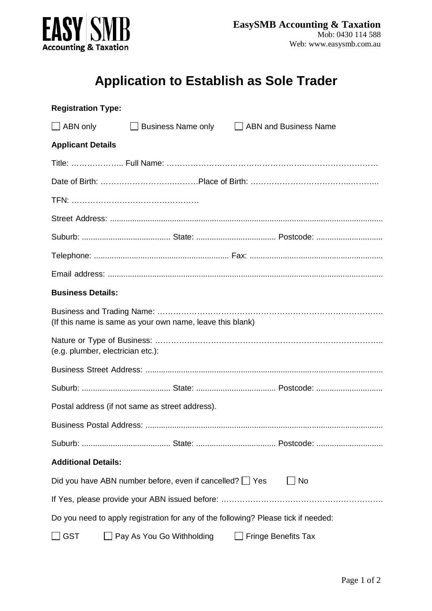

## **Application to Establish as Sole Trader**

| <b>Registration Type:</b>                                                          |                                                                                     |                            |  |
|------------------------------------------------------------------------------------|-------------------------------------------------------------------------------------|----------------------------|--|
|                                                                                    | ABN only <b>Example 3</b> Business Name only <b>Example 2</b> ABN and Business Name |                            |  |
| <b>Applicant Details</b>                                                           |                                                                                     |                            |  |
|                                                                                    |                                                                                     |                            |  |
|                                                                                    |                                                                                     |                            |  |
|                                                                                    |                                                                                     |                            |  |
|                                                                                    |                                                                                     |                            |  |
|                                                                                    |                                                                                     |                            |  |
|                                                                                    |                                                                                     |                            |  |
|                                                                                    |                                                                                     |                            |  |
| <b>Business Details:</b>                                                           |                                                                                     |                            |  |
| (If this name is same as your own name, leave this blank)                          |                                                                                     |                            |  |
| (e.g. plumber, electrician etc.):                                                  |                                                                                     |                            |  |
|                                                                                    |                                                                                     |                            |  |
|                                                                                    |                                                                                     |                            |  |
| Postal address (if not same as street address).                                    |                                                                                     |                            |  |
| <b>Business Postal Address:</b>                                                    |                                                                                     |                            |  |
|                                                                                    |                                                                                     |                            |  |
| <b>Additional Details:</b>                                                         |                                                                                     |                            |  |
| $\exists$ No<br>Did you have ABN number before, even if cancelled? $\Box$ Yes      |                                                                                     |                            |  |
|                                                                                    |                                                                                     |                            |  |
| Do you need to apply registration for any of the following? Please tick if needed: |                                                                                     |                            |  |
| <b>GST</b>                                                                         | Pay As You Go Withholding                                                           | <b>Fringe Benefits Tax</b> |  |